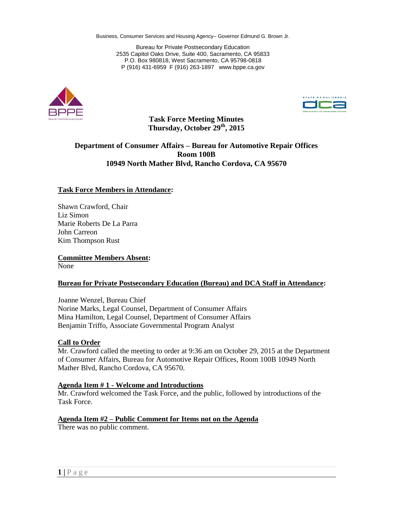Bureau for Private Postsecondary Education 2535 Capitol Oaks Drive, Suite 400, Sacramento, CA 95833 P.O. Box 980818, West Sacramento, CA 95798-0818 P (916) 431-6959 F (916) 263-1897 www.bppe.ca.gov





**Task Force Meeting Minutes Thursday, October 29th, 2015**

# **Department of Consumer Affairs – Bureau for Automotive Repair Offices Room 100B 10949 North Mather Blvd, Rancho Cordova, CA 95670**

#### **Task Force Members in Attendance:**

Shawn Crawford, Chair Liz Simon Marie Roberts De La Parra John Carreon Kim Thompson Rust

**Committee Members Absent:** None

#### **Bureau for Private Postsecondary Education (Bureau) and DCA Staff in Attendance:**

Joanne Wenzel, Bureau Chief Norine Marks, Legal Counsel, Department of Consumer Affairs Mina Hamilton, Legal Counsel, Department of Consumer Affairs Benjamin Triffo, Associate Governmental Program Analyst

#### **Call to Order**

Mr. Crawford called the meeting to order at 9:36 am on October 29, 2015 at the Department of Consumer Affairs, Bureau for Automotive Repair Offices, Room 100B 10949 North Mather Blvd, Rancho Cordova, CA 95670.

#### **Agenda Item # 1 - Welcome and Introductions**

Mr. Crawford welcomed the Task Force, and the public, followed by introductions of the Task Force.

#### **Agenda Item #2 – Public Comment for Items not on the Agenda** There was no public comment.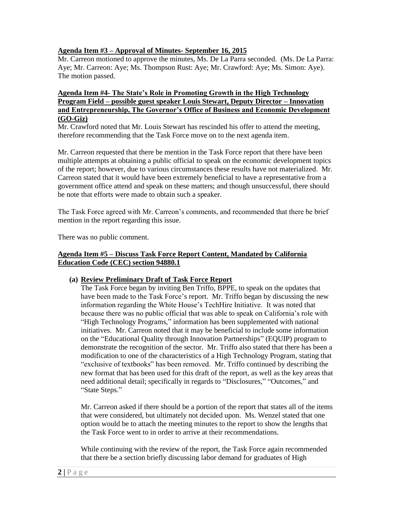# **Agenda Item #3 – Approval of Minutes- September 16, 2015**

Mr. Carreon motioned to approve the minutes, Ms. De La Parra seconded. (Ms. De La Parra: Aye; Mr. Carreon: Aye; Ms. Thompson Rust: Aye; Mr. Crawford: Aye; Ms. Simon: Aye). The motion passed.

## **Agenda Item #4- The State's Role in Promoting Growth in the High Technology Program Field – possible guest speaker Louis Stewart, Deputy Director – Innovation and Entrepreneurship, The Governor's Office of Business and Economic Development (GO-Giz)**

Mr. Crawford noted that Mr. Louis Stewart has rescinded his offer to attend the meeting, therefore recommending that the Task Force move on to the next agenda item.

Mr. Carreon requested that there be mention in the Task Force report that there have been multiple attempts at obtaining a public official to speak on the economic development topics of the report; however, due to various circumstances these results have not materialized. Mr. Carreon stated that it would have been extremely beneficial to have a representative from a government office attend and speak on these matters; and though unsuccessful, there should be note that efforts were made to obtain such a speaker.

The Task Force agreed with Mr. Carreon's comments, and recommended that there be brief mention in the report regarding this issue.

There was no public comment.

## **Agenda Item #5 – Discuss Task Force Report Content, Mandated by California Education Code (CEC) section 94880.1**

## **(a) Review Preliminary Draft of Task Force Report**

The Task Force began by inviting Ben Triffo, BPPE, to speak on the updates that have been made to the Task Force's report. Mr. Triffo began by discussing the new information regarding the White House's TechHire Initiative. It was noted that because there was no public official that was able to speak on California's role with "High Technology Programs," information has been supplemented with national initiatives. Mr. Carreon noted that it may be beneficial to include some information on the "Educational Quality through Innovation Partnerships" (EQUIP) program to demonstrate the recognition of the sector. Mr. Triffo also stated that there has been a modification to one of the characteristics of a High Technology Program, stating that "exclusive of textbooks" has been removed. Mr. Triffo continued by describing the new format that has been used for this draft of the report, as well as the key areas that need additional detail; specifically in regards to "Disclosures," "Outcomes," and "State Steps."

Mr. Carreon asked if there should be a portion of the report that states all of the items that were considered, but ultimately not decided upon. Ms. Wenzel stated that one option would be to attach the meeting minutes to the report to show the lengths that the Task Force went to in order to arrive at their recommendations.

While continuing with the review of the report, the Task Force again recommended that there be a section briefly discussing labor demand for graduates of High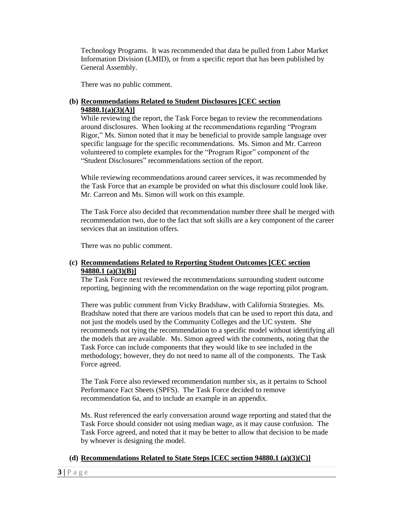Technology Programs. It was recommended that data be pulled from Labor Market Information Division (LMID), or from a specific report that has been published by General Assembly.

There was no public comment.

## **(b) Recommendations Related to Student Disclosures [CEC section 94880.1(a)(3)(A)]**

While reviewing the report, the Task Force began to review the recommendations around disclosures. When looking at the recommendations regarding "Program Rigor," Ms. Simon noted that it may be beneficial to provide sample language over specific language for the specific recommendations. Ms. Simon and Mr. Carreon volunteered to complete examples for the "Program Rigor" component of the "Student Disclosures" recommendations section of the report.

While reviewing recommendations around career services, it was recommended by the Task Force that an example be provided on what this disclosure could look like. Mr. Carreon and Ms. Simon will work on this example.

The Task Force also decided that recommendation number three shall be merged with recommendation two, due to the fact that soft skills are a key component of the career services that an institution offers.

There was no public comment.

# **(c) Recommendations Related to Reporting Student Outcomes [CEC section 94880.1 (a)(3)(B)]**

The Task Force next reviewed the recommendations surrounding student outcome reporting, beginning with the recommendation on the wage reporting pilot program.

There was public comment from Vicky Bradshaw, with California Strategies. Ms. Bradshaw noted that there are various models that can be used to report this data, and not just the models used by the Community Colleges and the UC system. She recommends not tying the recommendation to a specific model without identifying all the models that are available. Ms. Simon agreed with the comments, noting that the Task Force can include components that they would like to see included in the methodology; however, they do not need to name all of the components. The Task Force agreed.

The Task Force also reviewed recommendation number six, as it pertains to School Performance Fact Sheets (SPFS). The Task Force decided to remove recommendation 6a, and to include an example in an appendix.

Ms. Rust referenced the early conversation around wage reporting and stated that the Task Force should consider not using median wage, as it may cause confusion. The Task Force agreed, and noted that it may be better to allow that decision to be made by whoever is designing the model.

## **(d) Recommendations Related to State Steps [CEC section 94880.1 (a)(3)(C)]**